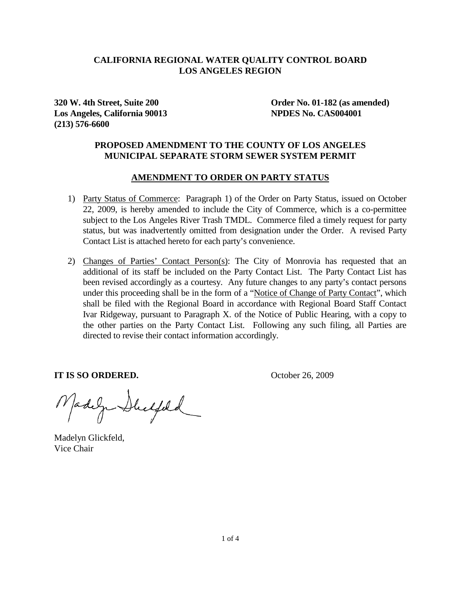### **CALIFORNIA REGIONAL WATER QUALITY CONTROL BOARD LOS ANGELES REGION**

**Los Angeles, California 90013 NPDES No. CAS004001 (213) 576-6600** 

**320 W. 4th Street, Suite 200 Order No. 01-182 (as amended)** 

## **PROPOSED AMENDMENT TO THE COUNTY OF LOS ANGELES MUNICIPAL SEPARATE STORM SEWER SYSTEM PERMIT**

#### **AMENDMENT TO ORDER ON PARTY STATUS**

- 1) Party Status of Commerce: Paragraph 1) of the Order on Party Status, issued on October 22, 2009, is hereby amended to include the City of Commerce, which is a co-permittee subject to the Los Angeles River Trash TMDL. Commerce filed a timely request for party status, but was inadvertently omitted from designation under the Order. A revised Party Contact List is attached hereto for each party's convenience.
- 2) Changes of Parties' Contact Person(s): The City of Monrovia has requested that an additional of its staff be included on the Party Contact List. The Party Contact List has been revised accordingly as a courtesy. Any future changes to any party's contact persons under this proceeding shall be in the form of a "Notice of Change of Party Contact", which shall be filed with the Regional Board in accordance with Regional Board Staff Contact Ivar Ridgeway, pursuant to Paragraph X. of the Notice of Public Hearing, with a copy to the other parties on the Party Contact List. Following any such filing, all Parties are directed to revise their contact information accordingly.

**IT IS SO ORDERED.** October 26, 2009

Madega Duchfeld

Madelyn Glickfeld, Vice Chair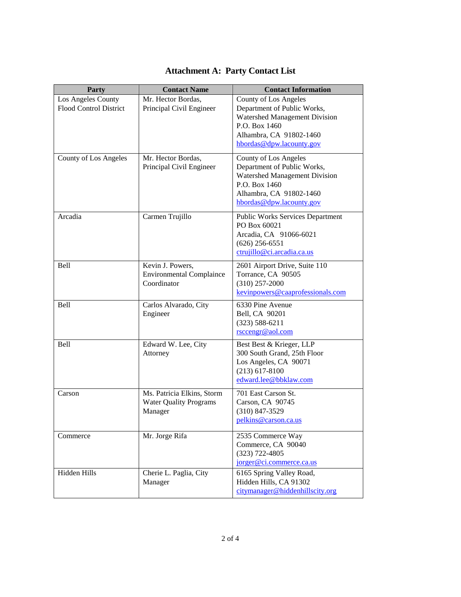| Party                                               | <b>Contact Name</b>                                                    | <b>Contact Information</b>                                                                                                                                    |
|-----------------------------------------------------|------------------------------------------------------------------------|---------------------------------------------------------------------------------------------------------------------------------------------------------------|
| Los Angeles County<br><b>Flood Control District</b> | Mr. Hector Bordas,<br>Principal Civil Engineer                         | County of Los Angeles<br>Department of Public Works,<br>Watershed Management Division<br>P.O. Box 1460<br>Alhambra, CA 91802-1460<br>hbordas@dpw.lacounty.gov |
| County of Los Angeles                               | Mr. Hector Bordas,<br>Principal Civil Engineer                         | County of Los Angeles<br>Department of Public Works,<br>Watershed Management Division<br>P.O. Box 1460<br>Alhambra, CA 91802-1460<br>hbordas@dpw.lacounty.gov |
| Arcadia                                             | Carmen Trujillo                                                        | <b>Public Works Services Department</b><br>PO Box 60021<br>Arcadia, CA 91066-6021<br>$(626)$ 256-6551<br>ctrujillo@ci.arcadia.ca.us                           |
| Bell                                                | Kevin J. Powers,<br><b>Environmental Complaince</b><br>Coordinator     | 2601 Airport Drive, Suite 110<br>Torrance, CA 90505<br>$(310)$ 257-2000<br>kevinpowers@caaprofessionals.com                                                   |
| Bell                                                | Carlos Alvarado, City<br>Engineer                                      | 6330 Pine Avenue<br>Bell, CA 90201<br>$(323) 588 - 6211$<br>rsccengr@aol.com                                                                                  |
| Bell                                                | Edward W. Lee, City<br>Attorney                                        | Best Best & Krieger, LLP<br>300 South Grand, 25th Floor<br>Los Angeles, CA 90071<br>$(213)$ 617-8100<br>edward.lee@bbklaw.com                                 |
| Carson                                              | Ms. Patricia Elkins, Storm<br><b>Water Quality Programs</b><br>Manager | 701 East Carson St.<br>Carson, CA 90745<br>$(310)$ 847-3529<br>pelkins@carson.ca.us                                                                           |
| Commerce                                            | Mr. Jorge Rifa                                                         | 2535 Commerce Way<br>Commerce, CA 90040<br>$(323)$ 722-4805<br>jorger@ci.commerce.ca.us                                                                       |
| Hidden Hills                                        | Cherie L. Paglia, City<br>Manager                                      | 6165 Spring Valley Road,<br>Hidden Hills, CA 91302<br>citymanager@hiddenhillscity.org                                                                         |

## **Attachment A: Party Contact List**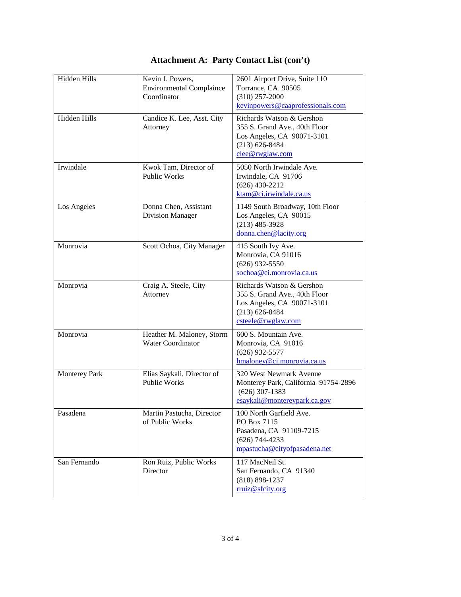# **Attachment A: Party Contact List (con't)**

| Hidden Hills         | Kevin J. Powers,<br><b>Environmental Complaince</b><br>Coordinator | 2601 Airport Drive, Suite 110<br>Torrance, CA 90505<br>$(310)$ 257-2000<br>kevinpowers@caaprofessionals.com                          |
|----------------------|--------------------------------------------------------------------|--------------------------------------------------------------------------------------------------------------------------------------|
| Hidden Hills         | Candice K. Lee, Asst. City<br>Attorney                             | Richards Watson & Gershon<br>355 S. Grand Ave., 40th Floor<br>Los Angeles, CA 90071-3101<br>$(213) 626 - 8484$<br>clee@rwglaw.com    |
| Irwindale            | Kwok Tam, Director of<br>Public Works                              | 5050 North Irwindale Ave.<br>Irwindale, CA 91706<br>$(626)$ 430-2212<br>ktam@ci.irwindale.ca.us                                      |
| Los Angeles          | Donna Chen, Assistant<br><b>Division Manager</b>                   | 1149 South Broadway, 10th Floor<br>Los Angeles, CA 90015<br>$(213)$ 485-3928<br>donna.chen@lacity.org                                |
| Monrovia             | Scott Ochoa, City Manager                                          | 415 South Ivy Ave.<br>Monrovia, CA 91016<br>$(626)$ 932-5550<br>sochoa@ci.monrovia.ca.us                                             |
| Monrovia             | Craig A. Steele, City<br>Attorney                                  | Richards Watson & Gershon<br>355 S. Grand Ave., 40th Floor<br>Los Angeles, CA 90071-3101<br>$(213) 626 - 8484$<br>csteele@rwglaw.com |
| Monrovia             | Heather M. Maloney, Storm<br><b>Water Coordinator</b>              | 600 S. Mountain Ave.<br>Monrovia, CA 91016<br>$(626)$ 932-5577<br>hmaloney@ci.monrovia.ca.us                                         |
| <b>Monterey Park</b> | Elias Saykali, Director of<br><b>Public Works</b>                  | 320 West Newmark Avenue<br>Monterey Park, California 91754-2896<br>$(626)$ 307-1383<br>esaykali@montereypark.ca.gov                  |
| Pasadena             | Martin Pastucha, Director<br>of Public Works                       | 100 North Garfield Ave.<br>PO Box 7115<br>Pasadena, CA 91109-7215<br>$(626)$ 744-4233<br>mpastucha@cityofpasadena.net                |
| San Fernando         | Ron Ruiz, Public Works<br>Director                                 | 117 MacNeil St.<br>San Fernando, CA 91340<br>$(818) 898 - 1237$<br>rruiz@sfcity.org                                                  |